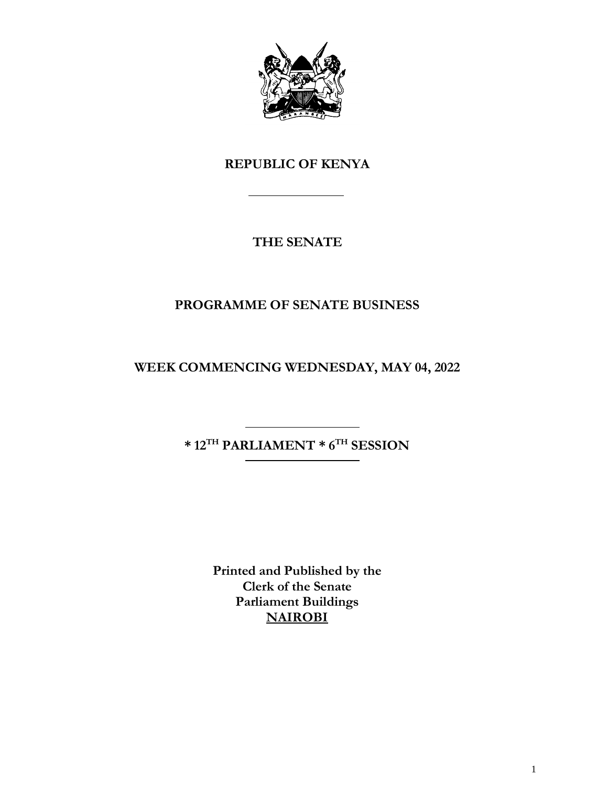

# **REPUBLIC OF KENYA**

# **THE SENATE**

# **PROGRAMME OF SENATE BUSINESS**

**WEEK COMMENCING WEDNESDAY, MAY 04, 2022**

**\* 12TH PARLIAMENT \* 6 TH SESSION**

**Printed and Published by the Clerk of the Senate Parliament Buildings NAIROBI**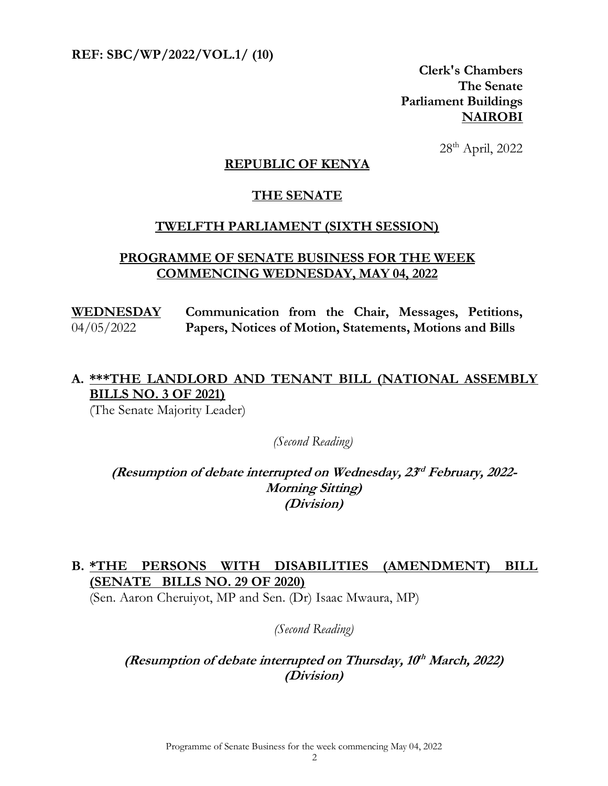**REF: SBC/WP/2022/VOL.1/ (10)** 

**Clerk's Chambers The Senate Parliament Buildings NAIROBI**

28th April, 2022

#### **REPUBLIC OF KENYA**

#### **THE SENATE**

#### **TWELFTH PARLIAMENT (SIXTH SESSION)**

#### **PROGRAMME OF SENATE BUSINESS FOR THE WEEK COMMENCING WEDNESDAY, MAY 04, 2022**

**WEDNESDAY**  04/05/2022 **Communication from the Chair, Messages, Petitions, Papers, Notices of Motion, Statements, Motions and Bills**

## **A. \*\*\*THE LANDLORD AND TENANT BILL (NATIONAL ASSEMBLY BILLS NO. 3 OF 2021)**

(The Senate Majority Leader)

*(Second Reading)*

**(Resumption of debate interrupted on Wednesday, 23 rd February, 2022- Morning Sitting) (Division)**

### **B. \*THE PERSONS WITH DISABILITIES (AMENDMENT) BILL (SENATE BILLS NO. 29 OF 2020)**

(Sen. Aaron Cheruiyot, MP and Sen. (Dr) Isaac Mwaura, MP)

#### *(Second Reading)*

#### **(Resumption of debate interrupted on Thursday, 10 th March, 2022) (Division)**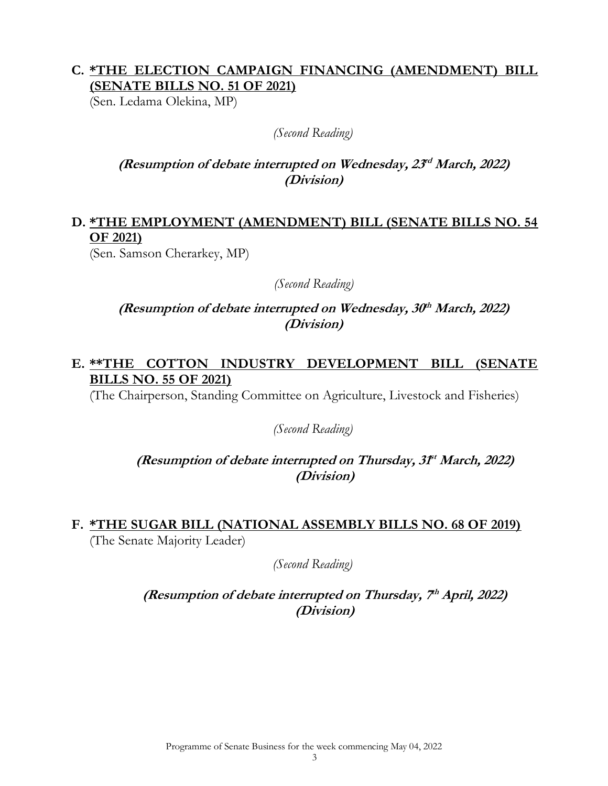### **C. \*THE ELECTION CAMPAIGN FINANCING (AMENDMENT) BILL (SENATE BILLS NO. 51 OF 2021)**

(Sen. Ledama Olekina, MP)

#### *(Second Reading)*

### **(Resumption of debate interrupted on Wednesday, 23 rd March, 2022) (Division)**

## **D. \*THE EMPLOYMENT (AMENDMENT) BILL (SENATE BILLS NO. 54 OF 2021)**

(Sen. Samson Cherarkey, MP)

### *(Second Reading)*

**(Resumption of debate interrupted on Wednesday, 30 th March, 2022) (Division)**

### **E. \*\*THE COTTON INDUSTRY DEVELOPMENT BILL (SENATE BILLS NO. 55 OF 2021)**

(The Chairperson, Standing Committee on Agriculture, Livestock and Fisheries)

#### *(Second Reading)*

### (Resumption of debate interrupted on Thursday, 3f<sup>t</sup> March, 2022) **(Division)**

#### **F. \*THE SUGAR BILL (NATIONAL ASSEMBLY BILLS NO. 68 OF 2019)** (The Senate Majority Leader)

*(Second Reading)*

(Resumption of debate interrupted on Thursday, 7<sup>th</sup> April, 2022) **(Division)**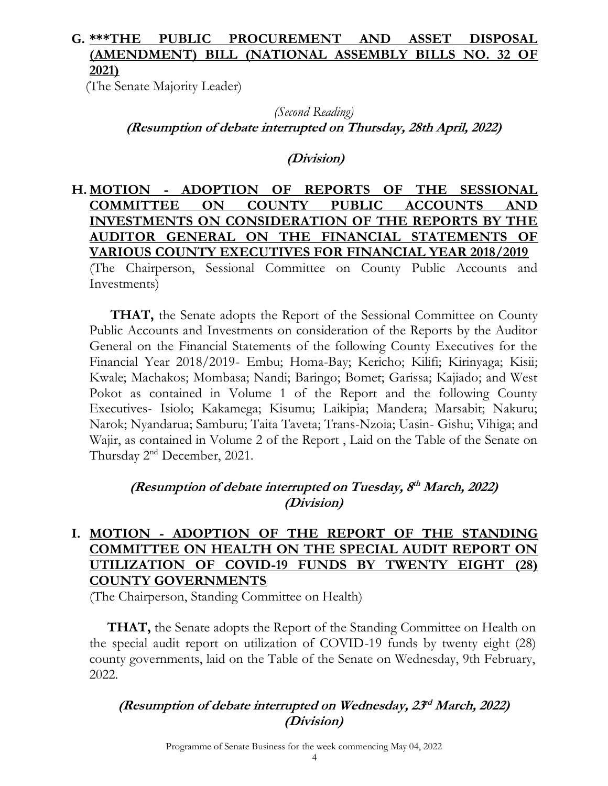## **G. \*\*\*THE PUBLIC PROCUREMENT AND ASSET DISPOSAL (AMENDMENT) BILL (NATIONAL ASSEMBLY BILLS NO. 32 OF 2021)**

(The Senate Majority Leader)

*(Second Reading)* **(Resumption of debate interrupted on Thursday, 28th April, 2022)** 

**(Division)**

### **H. MOTION - ADOPTION OF REPORTS OF THE SESSIONAL COMMITTEE ON COUNTY PUBLIC ACCOUNTS AND INVESTMENTS ON CONSIDERATION OF THE REPORTS BY THE AUDITOR GENERAL ON THE FINANCIAL STATEMENTS OF VARIOUS COUNTY EXECUTIVES FOR FINANCIAL YEAR 2018/2019** (The Chairperson, Sessional Committee on County Public Accounts and Investments)

**THAT,** the Senate adopts the Report of the Sessional Committee on County Public Accounts and Investments on consideration of the Reports by the Auditor General on the Financial Statements of the following County Executives for the Financial Year 2018/2019- Embu; Homa-Bay; Kericho; Kilifi; Kirinyaga; Kisii; Kwale; Machakos; Mombasa; Nandi; Baringo; Bomet; Garissa; Kajiado; and West Pokot as contained in Volume 1 of the Report and the following County Executives- Isiolo; Kakamega; Kisumu; Laikipia; Mandera; Marsabit; Nakuru; Narok; Nyandarua; Samburu; Taita Taveta; Trans-Nzoia; Uasin- Gishu; Vihiga; and Wajir, as contained in Volume 2 of the Report , Laid on the Table of the Senate on Thursday 2<sup>nd</sup> December, 2021.

**(Resumption of debate interrupted on Tuesday, 8 th March, 2022) (Division)**

## **I. MOTION - ADOPTION OF THE REPORT OF THE STANDING COMMITTEE ON HEALTH ON THE SPECIAL AUDIT REPORT ON UTILIZATION OF COVID-19 FUNDS BY TWENTY EIGHT (28) COUNTY GOVERNMENTS**

(The Chairperson, Standing Committee on Health)

**THAT,** the Senate adopts the Report of the Standing Committee on Health on the special audit report on utilization of COVID-19 funds by twenty eight (28) county governments, laid on the Table of the Senate on Wednesday, 9th February, 2022.

## **(Resumption of debate interrupted on Wednesday, 23 rd March, 2022) (Division)**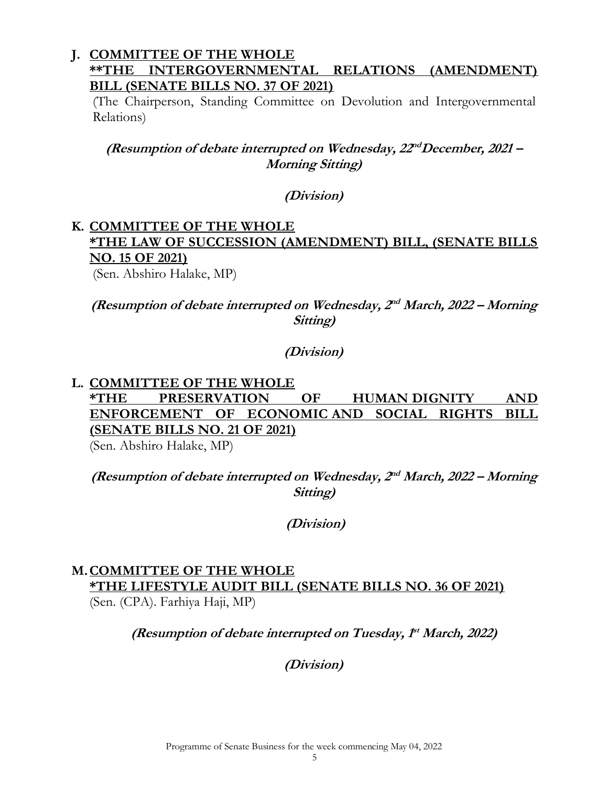#### **J. COMMITTEE OF THE WHOLE \*\*THE INTERGOVERNMENTAL RELATIONS (AMENDMENT) BILL (SENATE BILLS NO. 37 OF 2021)**

(The Chairperson, Standing Committee on Devolution and Intergovernmental Relations)

(Resumption of debate interrupted on Wednesday,  $22^{nd}$ December, 2021 – **Morning Sitting)**

**(Division)**

# **K. COMMITTEE OF THE WHOLE \*THE LAW OF SUCCESSION (AMENDMENT) BILL, (SENATE BILLS NO. 15 OF 2021)**

(Sen. Abshiro Halake, MP)

**(Resumption of debate interrupted on Wednesday, 2 nd March, 2022 – Morning Sitting)** 

### **(Division)**

### **L. COMMITTEE OF THE WHOLE \*THE PRESERVATION OF HUMAN DIGNITY AND ENFORCEMENT OF ECONOMIC AND SOCIAL RIGHTS BILL (SENATE BILLS NO. 21 OF 2021)**  (Sen. Abshiro Halake, MP)

(Resumption of debate interrupted on Wednesday, 2<sup>nd</sup> March, 2022 – Morning **Sitting)** 

**(Division)**

# **M.COMMITTEE OF THE WHOLE**

**\*THE LIFESTYLE AUDIT BILL (SENATE BILLS NO. 36 OF 2021)**  (Sen. (CPA). Farhiya Haji, MP)

(Resumption of debate interrupted on Tuesday,  $f^*$  March, 2022)

**(Division)**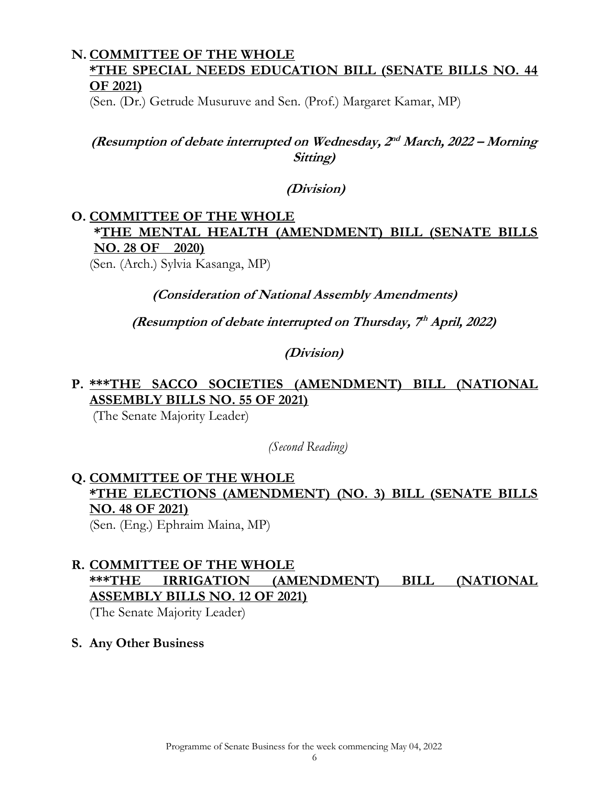### **N. COMMITTEE OF THE WHOLE \*THE SPECIAL NEEDS EDUCATION BILL (SENATE BILLS NO. 44 OF 2021)**

(Sen. (Dr.) Getrude Musuruve and Sen. (Prof.) Margaret Kamar, MP)

**(Resumption of debate interrupted on Wednesday, 2 nd March, 2022 – Morning Sitting)** 

**(Division)**

# **O. COMMITTEE OF THE WHOLE \*THE MENTAL HEALTH (AMENDMENT) BILL (SENATE BILLS NO. 28 OF 2020)**

(Sen. (Arch.) Sylvia Kasanga, MP)

**(Consideration of National Assembly Amendments)**

(Resumption of debate interrupted on Thursday, 7<sup>th</sup> April, 2022)

**(Division)**

## **P. \*\*\*THE SACCO SOCIETIES (AMENDMENT) BILL (NATIONAL ASSEMBLY BILLS NO. 55 OF 2021)**

(The Senate Majority Leader)

 *(Second Reading)*

# **Q. COMMITTEE OF THE WHOLE \*THE ELECTIONS (AMENDMENT) (NO. 3) BILL (SENATE BILLS NO. 48 OF 2021)**

(Sen. (Eng.) Ephraim Maina, MP)

# **R. COMMITTEE OF THE WHOLE \*\*\*THE IRRIGATION (AMENDMENT) BILL (NATIONAL ASSEMBLY BILLS NO. 12 OF 2021)**

(The Senate Majority Leader)

### **S. Any Other Business**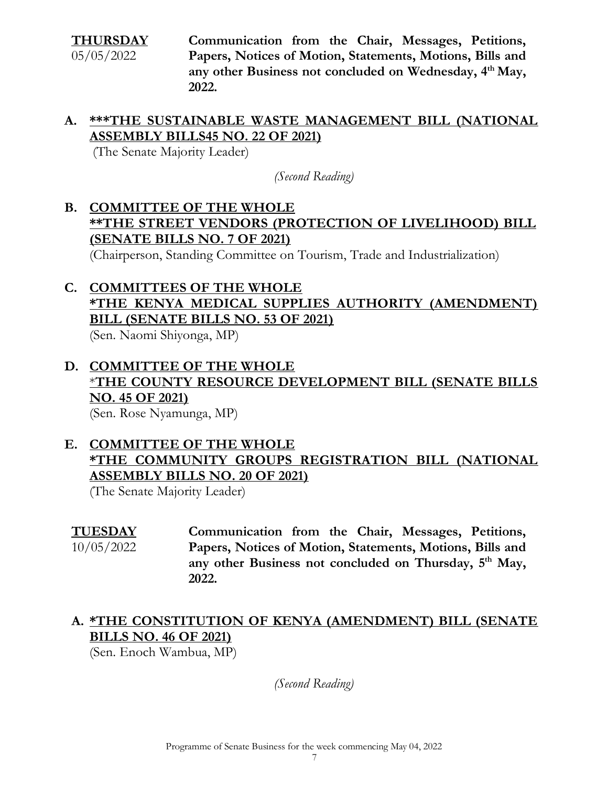**THURSDAY**  05/05/2022 **Communication from the Chair, Messages, Petitions, Papers, Notices of Motion, Statements, Motions, Bills and any other Business not concluded on Wednesday, 4 th May, 2022.** 

### **A. \*\*\*THE SUSTAINABLE WASTE MANAGEMENT BILL (NATIONAL ASSEMBLY BILLS45 NO. 22 OF 2021)**

(The Senate Majority Leader)

*(Second Reading)*

**B. COMMITTEE OF THE WHOLE \*\*THE STREET VENDORS (PROTECTION OF LIVELIHOOD) BILL (SENATE BILLS NO. 7 OF 2021)** 

(Chairperson, Standing Committee on Tourism, Trade and Industrialization)

# **C. COMMITTEES OF THE WHOLE \*THE KENYA MEDICAL SUPPLIES AUTHORITY (AMENDMENT) BILL (SENATE BILLS NO. 53 OF 2021)**

(Sen. Naomi Shiyonga, MP)

# **D. COMMITTEE OF THE WHOLE** \***THE COUNTY RESOURCE DEVELOPMENT BILL (SENATE BILLS NO. 45 OF 2021)**

(Sen. Rose Nyamunga, MP)

## **E. COMMITTEE OF THE WHOLE \*THE COMMUNITY GROUPS REGISTRATION BILL (NATIONAL ASSEMBLY BILLS NO. 20 OF 2021)**

(The Senate Majority Leader)

**TUESDAY**  10/05/2022 **Communication from the Chair, Messages, Petitions, Papers, Notices of Motion, Statements, Motions, Bills and**  any other Business not concluded on Thursday, 5<sup>th</sup> May, **2022.** 

## **A. \*THE CONSTITUTION OF KENYA (AMENDMENT) BILL (SENATE BILLS NO. 46 OF 2021)**

(Sen. Enoch Wambua, MP)

*(Second Reading)*